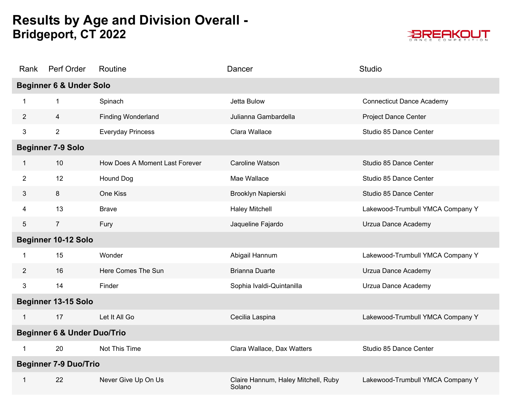

| Rank                                   | Perf Order                         | Routine                        | Dancer                                        | <b>Studio</b>                    |  |  |
|----------------------------------------|------------------------------------|--------------------------------|-----------------------------------------------|----------------------------------|--|--|
|                                        | <b>Beginner 6 &amp; Under Solo</b> |                                |                                               |                                  |  |  |
| 1                                      | $\mathbf{1}$                       | Spinach                        | Jetta Bulow                                   | <b>Connecticut Dance Academy</b> |  |  |
| $\overline{2}$                         | 4                                  | <b>Finding Wonderland</b>      | Julianna Gambardella                          | <b>Project Dance Center</b>      |  |  |
| 3                                      | $\mathbf{2}$                       | <b>Everyday Princess</b>       | Clara Wallace                                 | Studio 85 Dance Center           |  |  |
|                                        | <b>Beginner 7-9 Solo</b>           |                                |                                               |                                  |  |  |
| $\mathbf{1}$                           | 10                                 | How Does A Moment Last Forever | Caroline Watson                               | Studio 85 Dance Center           |  |  |
| $\overline{2}$                         | 12                                 | <b>Hound Dog</b>               | Mae Wallace                                   | Studio 85 Dance Center           |  |  |
| 3                                      | 8                                  | One Kiss                       | Brooklyn Napierski                            | Studio 85 Dance Center           |  |  |
| 4                                      | 13                                 | <b>Brave</b>                   | <b>Haley Mitchell</b>                         | Lakewood-Trumbull YMCA Company Y |  |  |
| 5                                      | $\overline{7}$                     | Fury                           | Jaqueline Fajardo                             | Urzua Dance Academy              |  |  |
| Beginner 10-12 Solo                    |                                    |                                |                                               |                                  |  |  |
| 1                                      | 15                                 | Wonder                         | Abigail Hannum                                | Lakewood-Trumbull YMCA Company Y |  |  |
| $\overline{2}$                         | 16                                 | Here Comes The Sun             | <b>Brianna Duarte</b>                         | Urzua Dance Academy              |  |  |
| 3                                      | 14                                 | Finder                         | Sophia Ivaldi-Quintanilla                     | Urzua Dance Academy              |  |  |
| <b>Beginner 13-15 Solo</b>             |                                    |                                |                                               |                                  |  |  |
| $\mathbf{1}$                           | 17                                 | Let It All Go                  | Cecilia Laspina                               | Lakewood-Trumbull YMCA Company Y |  |  |
| <b>Beginner 6 &amp; Under Duo/Trio</b> |                                    |                                |                                               |                                  |  |  |
| 1                                      | 20                                 | Not This Time                  | Clara Wallace, Dax Watters                    | Studio 85 Dance Center           |  |  |
| <b>Beginner 7-9 Duo/Trio</b>           |                                    |                                |                                               |                                  |  |  |
| 1                                      | 22                                 | Never Give Up On Us            | Claire Hannum, Haley Mitchell, Ruby<br>Solano | Lakewood-Trumbull YMCA Company Y |  |  |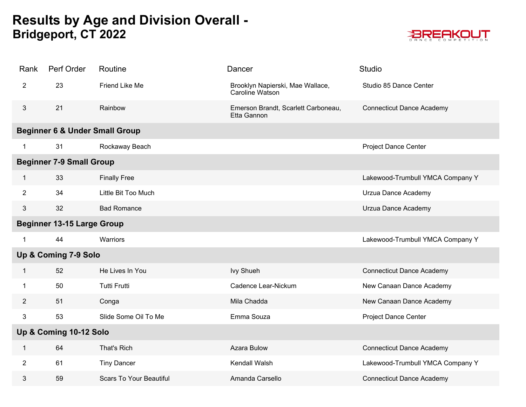

| Rank                              | Perf Order                                | Routine                        | Dancer                                              | <b>Studio</b>                    |  |  |
|-----------------------------------|-------------------------------------------|--------------------------------|-----------------------------------------------------|----------------------------------|--|--|
| $\overline{2}$                    | 23                                        | Friend Like Me                 | Brooklyn Napierski, Mae Wallace,<br>Caroline Watson | Studio 85 Dance Center           |  |  |
| 3                                 | 21                                        | Rainbow                        | Emerson Brandt, Scarlett Carboneau,<br>Etta Gannon  | <b>Connecticut Dance Academy</b> |  |  |
|                                   | <b>Beginner 6 &amp; Under Small Group</b> |                                |                                                     |                                  |  |  |
| $\mathbf 1$                       | 31                                        | Rockaway Beach                 |                                                     | <b>Project Dance Center</b>      |  |  |
|                                   | <b>Beginner 7-9 Small Group</b>           |                                |                                                     |                                  |  |  |
| $\mathbf 1$                       | 33                                        | <b>Finally Free</b>            |                                                     | Lakewood-Trumbull YMCA Company Y |  |  |
| $\overline{2}$                    | 34                                        | Little Bit Too Much            |                                                     | Urzua Dance Academy              |  |  |
| 3                                 | 32                                        | <b>Bad Romance</b>             |                                                     | Urzua Dance Academy              |  |  |
| <b>Beginner 13-15 Large Group</b> |                                           |                                |                                                     |                                  |  |  |
| 1                                 | 44                                        | <b>Warriors</b>                |                                                     | Lakewood-Trumbull YMCA Company Y |  |  |
| Up & Coming 7-9 Solo              |                                           |                                |                                                     |                                  |  |  |
| 1                                 | 52                                        | He Lives In You                | Ivy Shueh                                           | <b>Connecticut Dance Academy</b> |  |  |
| $\mathbf{1}$                      | 50                                        | <b>Tutti Frutti</b>            | Cadence Lear-Nickum                                 | New Canaan Dance Academy         |  |  |
| $\overline{2}$                    | 51                                        | Conga                          | Mila Chadda                                         | New Canaan Dance Academy         |  |  |
| 3                                 | 53                                        | Slide Some Oil To Me           | Emma Souza                                          | <b>Project Dance Center</b>      |  |  |
| Up & Coming 10-12 Solo            |                                           |                                |                                                     |                                  |  |  |
| 1                                 | 64                                        | That's Rich                    | Azara Bulow                                         | <b>Connecticut Dance Academy</b> |  |  |
| $\overline{2}$                    | 61                                        | <b>Tiny Dancer</b>             | Kendall Walsh                                       | Lakewood-Trumbull YMCA Company Y |  |  |
| 3                                 | 59                                        | <b>Scars To Your Beautiful</b> | Amanda Carsello                                     | <b>Connecticut Dance Academy</b> |  |  |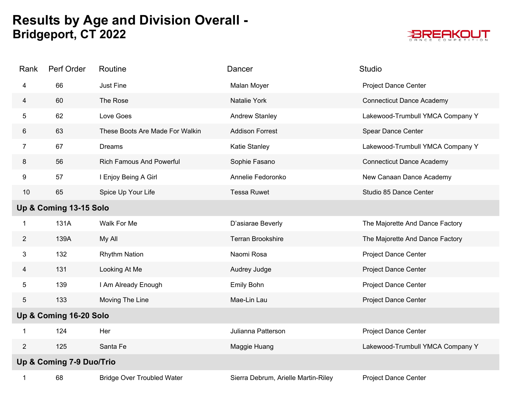

| Rank                     | Perf Order | Routine                           | Dancer                              | Studio                           |  |  |
|--------------------------|------------|-----------------------------------|-------------------------------------|----------------------------------|--|--|
| 4                        | 66         | Just Fine                         | Malan Moyer                         | <b>Project Dance Center</b>      |  |  |
| 4                        | 60         | The Rose                          | Natalie York                        | <b>Connecticut Dance Academy</b> |  |  |
| 5                        | 62         | Love Goes                         | <b>Andrew Stanley</b>               | Lakewood-Trumbull YMCA Company Y |  |  |
| 6                        | 63         | These Boots Are Made For Walkin   | <b>Addison Forrest</b>              | Spear Dance Center               |  |  |
| 7                        | 67         | Dreams                            | Katie Stanley                       | Lakewood-Trumbull YMCA Company Y |  |  |
| 8                        | 56         | <b>Rich Famous And Powerful</b>   | Sophie Fasano                       | <b>Connecticut Dance Academy</b> |  |  |
| 9                        | 57         | I Enjoy Being A Girl              | Annelie Fedoronko                   | New Canaan Dance Academy         |  |  |
| 10                       | 65         | Spice Up Your Life                | <b>Tessa Ruwet</b>                  | Studio 85 Dance Center           |  |  |
| Up & Coming 13-15 Solo   |            |                                   |                                     |                                  |  |  |
| 1                        | 131A       | Walk For Me                       | D'asiarae Beverly                   | The Majorette And Dance Factory  |  |  |
| $\mathbf{2}$             | 139A       | My All                            | Terran Brookshire                   | The Majorette And Dance Factory  |  |  |
| 3                        | 132        | <b>Rhythm Nation</b>              | Naomi Rosa                          | <b>Project Dance Center</b>      |  |  |
| 4                        | 131        | Looking At Me                     | Audrey Judge                        | <b>Project Dance Center</b>      |  |  |
| 5                        | 139        | I Am Already Enough               | Emily Bohn                          | <b>Project Dance Center</b>      |  |  |
| 5                        | 133        | Moving The Line                   | Mae-Lin Lau                         | <b>Project Dance Center</b>      |  |  |
| Up & Coming 16-20 Solo   |            |                                   |                                     |                                  |  |  |
| 1                        | 124        | Her                               | Julianna Patterson                  | <b>Project Dance Center</b>      |  |  |
| $\overline{2}$           | 125        | Santa Fe                          | Maggie Huang                        | Lakewood-Trumbull YMCA Company Y |  |  |
| Up & Coming 7-9 Duo/Trio |            |                                   |                                     |                                  |  |  |
|                          | 68         | <b>Bridge Over Troubled Water</b> | Sierra Debrum, Arielle Martin-Riley | <b>Project Dance Center</b>      |  |  |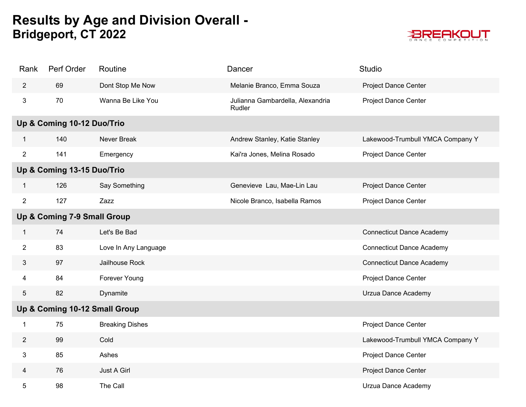

| Rank                        | Perf Order                    | Routine                | Dancer                                     | <b>Studio</b>                    |  |
|-----------------------------|-------------------------------|------------------------|--------------------------------------------|----------------------------------|--|
| $\overline{2}$              | 69                            | Dont Stop Me Now       | Melanie Branco, Emma Souza                 | <b>Project Dance Center</b>      |  |
| 3                           | 70                            | Wanna Be Like You      | Julianna Gambardella, Alexandria<br>Rudler | <b>Project Dance Center</b>      |  |
|                             | Up & Coming 10-12 Duo/Trio    |                        |                                            |                                  |  |
| 1                           | 140                           | Never Break            | Andrew Stanley, Katie Stanley              | Lakewood-Trumbull YMCA Company Y |  |
| $\overline{2}$              | 141                           | Emergency              | Kai'ra Jones, Melina Rosado                | <b>Project Dance Center</b>      |  |
|                             | Up & Coming 13-15 Duo/Trio    |                        |                                            |                                  |  |
| 1                           | 126                           | Say Something          | Genevieve Lau, Mae-Lin Lau                 | <b>Project Dance Center</b>      |  |
| $\overline{2}$              | 127                           | Zazz                   | Nicole Branco, Isabella Ramos              | Project Dance Center             |  |
| Up & Coming 7-9 Small Group |                               |                        |                                            |                                  |  |
| $\mathbf{1}$                | 74                            | Let's Be Bad           |                                            | <b>Connecticut Dance Academy</b> |  |
| $\overline{2}$              | 83                            | Love In Any Language   |                                            | <b>Connecticut Dance Academy</b> |  |
| 3                           | 97                            | Jailhouse Rock         |                                            | <b>Connecticut Dance Academy</b> |  |
| 4                           | 84                            | Forever Young          |                                            | Project Dance Center             |  |
| 5                           | 82                            | Dynamite               |                                            | Urzua Dance Academy              |  |
|                             | Up & Coming 10-12 Small Group |                        |                                            |                                  |  |
| 1                           | 75                            | <b>Breaking Dishes</b> |                                            | <b>Project Dance Center</b>      |  |
| $\overline{2}$              | 99                            | Cold                   |                                            | Lakewood-Trumbull YMCA Company Y |  |
| 3                           | 85                            | Ashes                  |                                            | <b>Project Dance Center</b>      |  |
| 4                           | 76                            | Just A Girl            |                                            | Project Dance Center             |  |
| 5                           | 98                            | The Call               |                                            | Urzua Dance Academy              |  |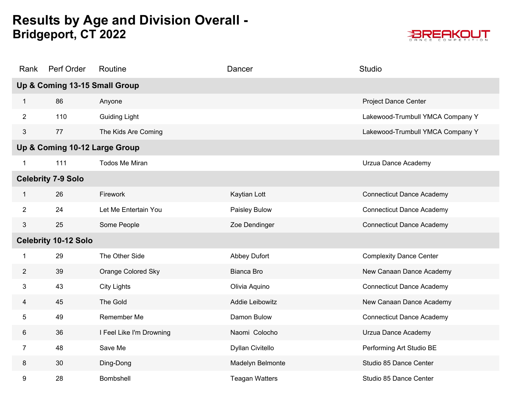

| Rank                        | Perf Order                    | Routine                  | Dancer                | Studio                           |  |  |
|-----------------------------|-------------------------------|--------------------------|-----------------------|----------------------------------|--|--|
|                             | Up & Coming 13-15 Small Group |                          |                       |                                  |  |  |
| $\mathbf{1}$                | 86                            | Anyone                   |                       | <b>Project Dance Center</b>      |  |  |
| $\overline{2}$              | 110                           | <b>Guiding Light</b>     |                       | Lakewood-Trumbull YMCA Company Y |  |  |
| 3                           | 77                            | The Kids Are Coming      |                       | Lakewood-Trumbull YMCA Company Y |  |  |
|                             | Up & Coming 10-12 Large Group |                          |                       |                                  |  |  |
| 1                           | 111                           | <b>Todos Me Miran</b>    |                       | Urzua Dance Academy              |  |  |
|                             | <b>Celebrity 7-9 Solo</b>     |                          |                       |                                  |  |  |
| $\mathbf{1}$                | 26                            | Firework                 | Kaytian Lott          | <b>Connecticut Dance Academy</b> |  |  |
| $\overline{2}$              | 24                            | Let Me Entertain You     | Paisley Bulow         | <b>Connecticut Dance Academy</b> |  |  |
| 3                           | 25                            | Some People              | Zoe Dendinger         | <b>Connecticut Dance Academy</b> |  |  |
| <b>Celebrity 10-12 Solo</b> |                               |                          |                       |                                  |  |  |
| $\mathbf{1}$                | 29                            | The Other Side           | <b>Abbey Dufort</b>   | <b>Complexity Dance Center</b>   |  |  |
| $\overline{2}$              | 39                            | Orange Colored Sky       | Bianca Bro            | New Canaan Dance Academy         |  |  |
| 3                           | 43                            | <b>City Lights</b>       | Olivia Aquino         | <b>Connecticut Dance Academy</b> |  |  |
| 4                           | 45                            | The Gold                 | Addie Leibowitz       | New Canaan Dance Academy         |  |  |
| 5                           | 49                            | Remember Me              | Damon Bulow           | <b>Connecticut Dance Academy</b> |  |  |
| 6                           | 36                            | I Feel Like I'm Drowning | Naomi Colocho         | Urzua Dance Academy              |  |  |
| $\overline{7}$              | 48                            | Save Me                  | Dyllan Civitello      | Performing Art Studio BE         |  |  |
| 8                           | 30                            | Ding-Dong                | Madelyn Belmonte      | Studio 85 Dance Center           |  |  |
| 9                           | 28                            | Bombshell                | <b>Teagan Watters</b> | Studio 85 Dance Center           |  |  |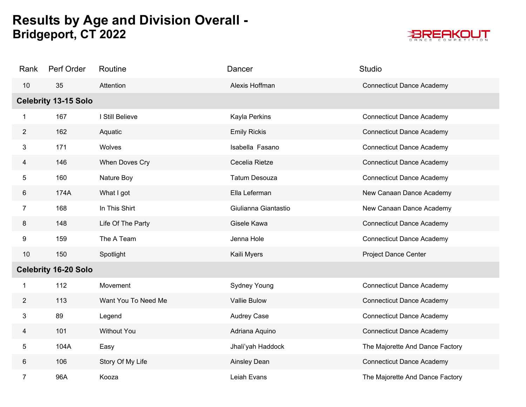

| Rank           | Perf Order                  | Routine             | Dancer               | Studio                           |
|----------------|-----------------------------|---------------------|----------------------|----------------------------------|
| 10             | 35                          | Attention           | Alexis Hoffman       | <b>Connecticut Dance Academy</b> |
|                | <b>Celebrity 13-15 Solo</b> |                     |                      |                                  |
| 1              | 167                         | I Still Believe     | Kayla Perkins        | <b>Connecticut Dance Academy</b> |
| $\overline{2}$ | 162                         | Aquatic             | <b>Emily Rickis</b>  | <b>Connecticut Dance Academy</b> |
| 3              | 171                         | Wolves              | Isabella Fasano      | <b>Connecticut Dance Academy</b> |
| 4              | 146                         | When Doves Cry      | Cecelia Rietze       | <b>Connecticut Dance Academy</b> |
| 5              | 160                         | Nature Boy          | Tatum Desouza        | <b>Connecticut Dance Academy</b> |
| 6              | 174A                        | What I got          | Ella Leferman        | New Canaan Dance Academy         |
| $\overline{7}$ | 168                         | In This Shirt       | Giulianna Giantastio | New Canaan Dance Academy         |
| 8              | 148                         | Life Of The Party   | Gisele Kawa          | <b>Connecticut Dance Academy</b> |
| 9              | 159                         | The A Team          | Jenna Hole           | <b>Connecticut Dance Academy</b> |
| $10$           | 150                         | Spotlight           | Kaili Myers          | <b>Project Dance Center</b>      |
|                | <b>Celebrity 16-20 Solo</b> |                     |                      |                                  |
| 1              | 112                         | Movement            | <b>Sydney Young</b>  | <b>Connecticut Dance Academy</b> |
| $\overline{2}$ | 113                         | Want You To Need Me | Vallie Bulow         | <b>Connecticut Dance Academy</b> |
| 3              | 89                          | Legend              | Audrey Case          | <b>Connecticut Dance Academy</b> |
| 4              | 101                         | <b>Without You</b>  | Adriana Aquino       | <b>Connecticut Dance Academy</b> |
| 5              | 104A                        | Easy                | Jhali'yah Haddock    | The Majorette And Dance Factory  |
| 6              | 106                         | Story Of My Life    | Ainsley Dean         | <b>Connecticut Dance Academy</b> |
| $\overline{7}$ | 96A                         | Kooza               | Leiah Evans          | The Majorette And Dance Factory  |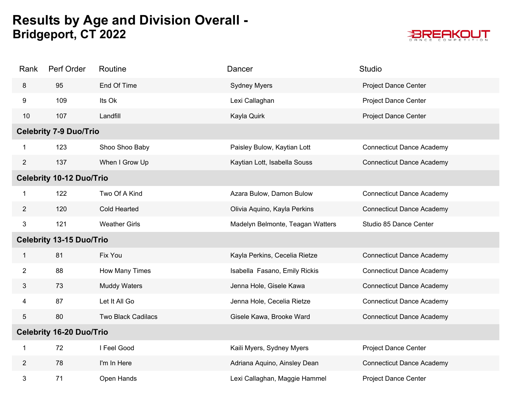

| Rank                            | Perf Order                      | Routine                   | Dancer                           | <b>Studio</b>                    |  |
|---------------------------------|---------------------------------|---------------------------|----------------------------------|----------------------------------|--|
| 8                               | 95                              | End Of Time               | <b>Sydney Myers</b>              | <b>Project Dance Center</b>      |  |
| 9                               | 109                             | Its Ok                    | Lexi Callaghan                   | <b>Project Dance Center</b>      |  |
| 10                              | 107                             | Landfill                  | Kayla Quirk                      | <b>Project Dance Center</b>      |  |
|                                 | <b>Celebrity 7-9 Duo/Trio</b>   |                           |                                  |                                  |  |
|                                 | 123                             | Shoo Shoo Baby            | Paisley Bulow, Kaytian Lott      | <b>Connecticut Dance Academy</b> |  |
| $\overline{c}$                  | 137                             | When I Grow Up            | Kaytian Lott, Isabella Souss     | <b>Connecticut Dance Academy</b> |  |
|                                 | <b>Celebrity 10-12 Duo/Trio</b> |                           |                                  |                                  |  |
| $\mathbf 1$                     | 122                             | Two Of A Kind             | Azara Bulow, Damon Bulow         | <b>Connecticut Dance Academy</b> |  |
| $\mathbf{2}$                    | 120                             | <b>Cold Hearted</b>       | Olivia Aquino, Kayla Perkins     | <b>Connecticut Dance Academy</b> |  |
| $\mathfrak{S}$                  | 121                             | <b>Weather Girls</b>      | Madelyn Belmonte, Teagan Watters | Studio 85 Dance Center           |  |
| <b>Celebrity 13-15 Duo/Trio</b> |                                 |                           |                                  |                                  |  |
|                                 | 81                              | Fix You                   | Kayla Perkins, Cecelia Rietze    | <b>Connecticut Dance Academy</b> |  |
| $\overline{2}$                  | 88                              | How Many Times            | Isabella Fasano, Emily Rickis    | <b>Connecticut Dance Academy</b> |  |
| 3                               | 73                              | <b>Muddy Waters</b>       | Jenna Hole, Gisele Kawa          | <b>Connecticut Dance Academy</b> |  |
| 4                               | 87                              | Let It All Go             | Jenna Hole, Cecelia Rietze       | <b>Connecticut Dance Academy</b> |  |
| 5                               | 80                              | <b>Two Black Cadilacs</b> | Gisele Kawa, Brooke Ward         | <b>Connecticut Dance Academy</b> |  |
| <b>Celebrity 16-20 Duo/Trio</b> |                                 |                           |                                  |                                  |  |
| 1                               | 72                              | I Feel Good               | Kaili Myers, Sydney Myers        | <b>Project Dance Center</b>      |  |
| $\overline{2}$                  | 78                              | I'm In Here               | Adriana Aquino, Ainsley Dean     | <b>Connecticut Dance Academy</b> |  |
| 3                               | 71                              | Open Hands                | Lexi Callaghan, Maggie Hammel    | <b>Project Dance Center</b>      |  |